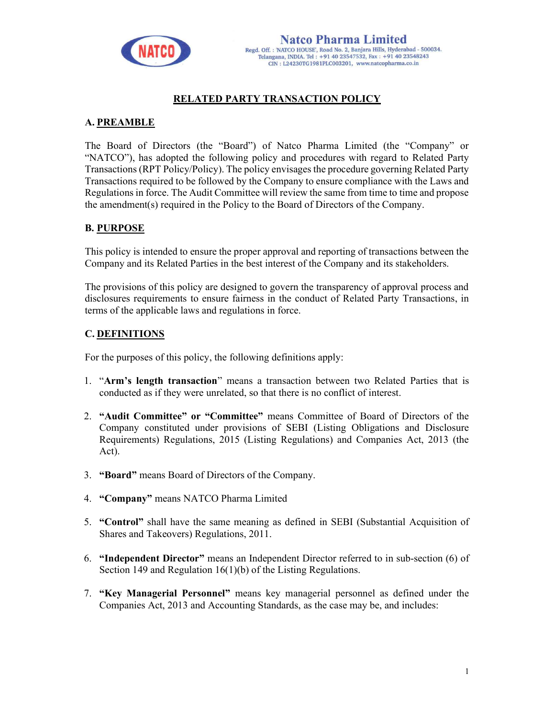

# RELATED PARTY TRANSACTION POLICY

# A. PREAMBLE

The Board of Directors (the "Board") of Natco Pharma Limited (the "Company" or "NATCO"), has adopted the following policy and procedures with regard to Related Party Transactions (RPT Policy/Policy). The policy envisages the procedure governing Related Party Transactions required to be followed by the Company to ensure compliance with the Laws and Regulations in force. The Audit Committee will review the same from time to time and propose the amendment(s) required in the Policy to the Board of Directors of the Company.

## B. PURPOSE

This policy is intended to ensure the proper approval and reporting of transactions between the Company and its Related Parties in the best interest of the Company and its stakeholders.

The provisions of this policy are designed to govern the transparency of approval process and disclosures requirements to ensure fairness in the conduct of Related Party Transactions, in terms of the applicable laws and regulations in force.

# C. DEFINITIONS

For the purposes of this policy, the following definitions apply:

- 1. "Arm's length transaction" means a transaction between two Related Parties that is conducted as if they were unrelated, so that there is no conflict of interest.
- 2. "Audit Committee" or "Committee" means Committee of Board of Directors of the Company constituted under provisions of SEBI (Listing Obligations and Disclosure Requirements) Regulations, 2015 (Listing Regulations) and Companies Act, 2013 (the Act).
- 3. "Board" means Board of Directors of the Company.
- 4. "Company" means NATCO Pharma Limited
- 5. "Control" shall have the same meaning as defined in SEBI (Substantial Acquisition of Shares and Takeovers) Regulations, 2011.
- 6. "Independent Director" means an Independent Director referred to in sub-section (6) of Section 149 and Regulation 16(1)(b) of the Listing Regulations.
- 7. "Key Managerial Personnel" means key managerial personnel as defined under the Companies Act, 2013 and Accounting Standards, as the case may be, and includes: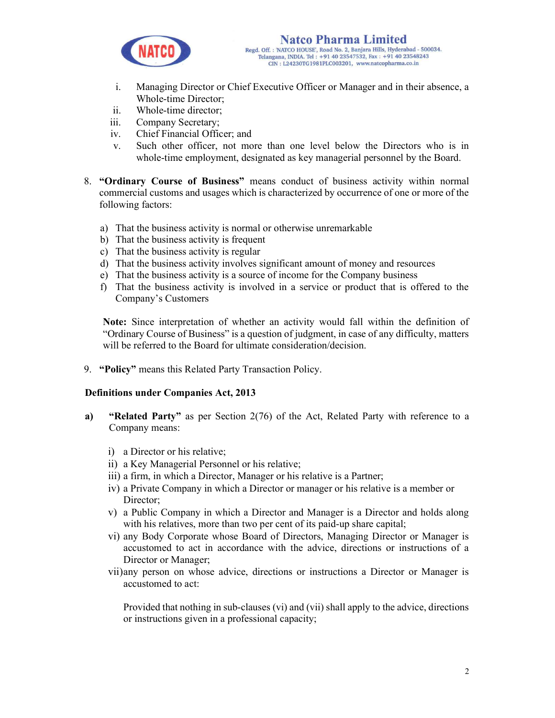

- i. Managing Director or Chief Executive Officer or Manager and in their absence, a Whole-time Director;
- ii. Whole-time director;
- iii. Company Secretary;
- iv. Chief Financial Officer; and
- v. Such other officer, not more than one level below the Directors who is in whole-time employment, designated as key managerial personnel by the Board.
- 8. "Ordinary Course of Business" means conduct of business activity within normal commercial customs and usages which is characterized by occurrence of one or more of the following factors:
	- a) That the business activity is normal or otherwise unremarkable
	- b) That the business activity is frequent
	- c) That the business activity is regular
	- d) That the business activity involves significant amount of money and resources
	- e) That the business activity is a source of income for the Company business
	- f) That the business activity is involved in a service or product that is offered to the Company's Customers

Note: Since interpretation of whether an activity would fall within the definition of "Ordinary Course of Business" is a question of judgment, in case of any difficulty, matters will be referred to the Board for ultimate consideration/decision.

9. "Policy" means this Related Party Transaction Policy.

### Definitions under Companies Act, 2013

- a) "Related Party" as per Section 2(76) of the Act, Related Party with reference to a Company means:
	- i) a Director or his relative;
	- ii) a Key Managerial Personnel or his relative;
	- iii) a firm, in which a Director, Manager or his relative is a Partner;
	- iv) a Private Company in which a Director or manager or his relative is a member or Director:
	- v) a Public Company in which a Director and Manager is a Director and holds along with his relatives, more than two per cent of its paid-up share capital;
	- vi) any Body Corporate whose Board of Directors, Managing Director or Manager is accustomed to act in accordance with the advice, directions or instructions of a Director or Manager;
	- vii)any person on whose advice, directions or instructions a Director or Manager is accustomed to act:

Provided that nothing in sub-clauses (vi) and (vii) shall apply to the advice, directions or instructions given in a professional capacity;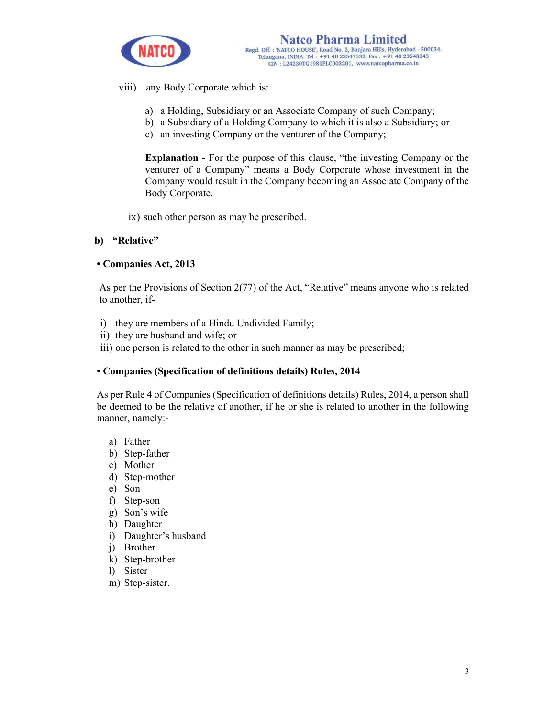

viii) any Body Corporate which is:

- a) a Holding, Subsidiary or an Associate Company of such Company;
- b) a Subsidiary of a Holding Company to which it is also a Subsidiary; or
- c) an investing Company or the venturer of the Company;

Explanation - For the purpose of this clause, "the investing Company or the venturer of a Company" means a Body Corporate whose investment in the Company would result in the Company becoming an Associate Company of the Body Corporate.

ix) such other person as may be prescribed.

## b) "Relative"

### • Companies Act, 2013

As per the Provisions of Section 2(77) of the Act, "Relative" means anyone who is related to another, if-

- i) they are members of a Hindu Undivided Family;
- ii) they are husband and wife; or
- iii) one person is related to the other in such manner as may be prescribed;

### • Companies (Specification of definitions details) Rules, 2014

As per Rule 4 of Companies (Specification of definitions details) Rules, 2014, a person shall be deemed to be the relative of another, if he or she is related to another in the following manner, namely:-

- a) Father
- b) Step-father
- c) Mother
- d) Step-mother
- e) Son
- f) Step-son
- g) Son's wife
- h) Daughter
- i) Daughter's husband
- j) Brother
- k) Step-brother
- l) Sister
- m) Step-sister.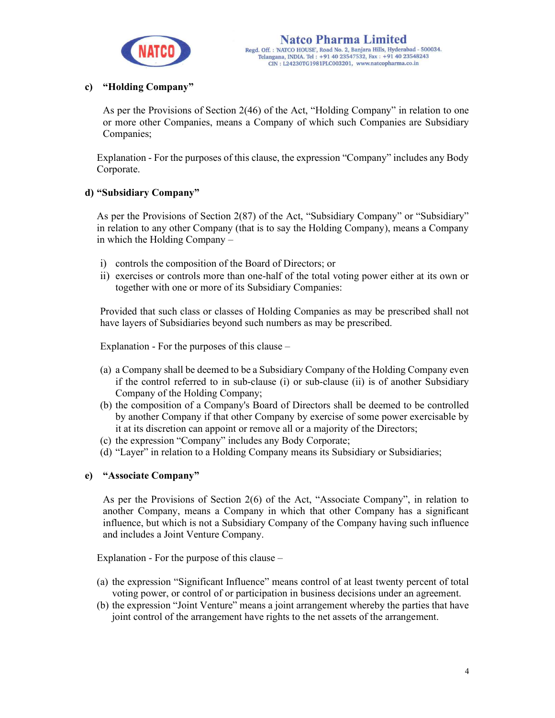

# c) "Holding Company"

As per the Provisions of Section 2(46) of the Act, "Holding Company" in relation to one or more other Companies, means a Company of which such Companies are Subsidiary Companies;

Explanation - For the purposes of this clause, the expression "Company" includes any Body Corporate.

## d) "Subsidiary Company"

As per the Provisions of Section 2(87) of the Act, "Subsidiary Company" or "Subsidiary" in relation to any other Company (that is to say the Holding Company), means a Company in which the Holding Company –

- i) controls the composition of the Board of Directors; or
- ii) exercises or controls more than one-half of the total voting power either at its own or together with one or more of its Subsidiary Companies:

Provided that such class or classes of Holding Companies as may be prescribed shall not have layers of Subsidiaries beyond such numbers as may be prescribed.

Explanation - For the purposes of this clause –

- (a) a Company shall be deemed to be a Subsidiary Company of the Holding Company even if the control referred to in sub-clause (i) or sub-clause (ii) is of another Subsidiary Company of the Holding Company;
- (b) the composition of a Company's Board of Directors shall be deemed to be controlled by another Company if that other Company by exercise of some power exercisable by it at its discretion can appoint or remove all or a majority of the Directors;
- (c) the expression "Company" includes any Body Corporate;
- (d) "Layer" in relation to a Holding Company means its Subsidiary or Subsidiaries;

## e) "Associate Company"

As per the Provisions of Section 2(6) of the Act, "Associate Company", in relation to another Company, means a Company in which that other Company has a significant influence, but which is not a Subsidiary Company of the Company having such influence and includes a Joint Venture Company.

Explanation - For the purpose of this clause –

- (a) the expression "Significant Influence" means control of at least twenty percent of total voting power, or control of or participation in business decisions under an agreement.
- (b) the expression "Joint Venture" means a joint arrangement whereby the parties that have joint control of the arrangement have rights to the net assets of the arrangement.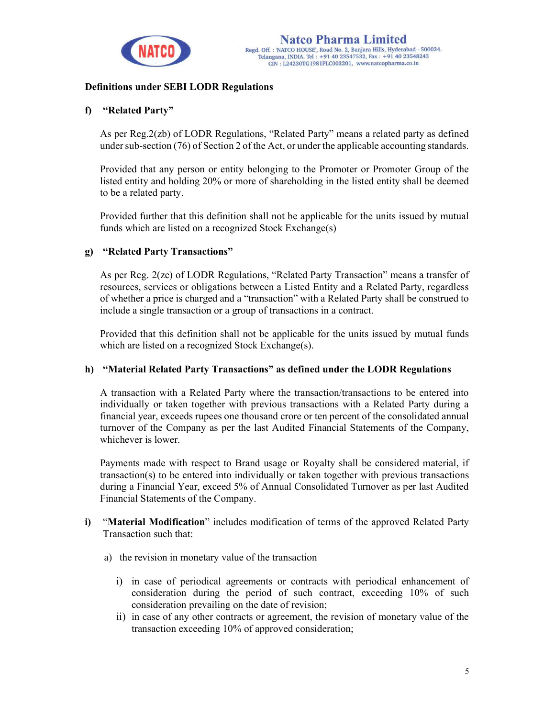

## Definitions under SEBI LODR Regulations

### f) "Related Party"

As per Reg.2(zb) of LODR Regulations, "Related Party" means a related party as defined under sub-section (76) of Section 2 of the Act, or under the applicable accounting standards.

Provided that any person or entity belonging to the Promoter or Promoter Group of the listed entity and holding 20% or more of shareholding in the listed entity shall be deemed to be a related party.

Provided further that this definition shall not be applicable for the units issued by mutual funds which are listed on a recognized Stock Exchange(s)

### g) "Related Party Transactions"

As per Reg. 2(zc) of LODR Regulations, "Related Party Transaction" means a transfer of resources, services or obligations between a Listed Entity and a Related Party, regardless of whether a price is charged and a "transaction" with a Related Party shall be construed to include a single transaction or a group of transactions in a contract.

Provided that this definition shall not be applicable for the units issued by mutual funds which are listed on a recognized Stock Exchange(s).

### h) "Material Related Party Transactions" as defined under the LODR Regulations

A transaction with a Related Party where the transaction/transactions to be entered into individually or taken together with previous transactions with a Related Party during a financial year, exceeds rupees one thousand crore or ten percent of the consolidated annual turnover of the Company as per the last Audited Financial Statements of the Company, whichever is lower.

Payments made with respect to Brand usage or Royalty shall be considered material, if transaction(s) to be entered into individually or taken together with previous transactions during a Financial Year, exceed 5% of Annual Consolidated Turnover as per last Audited Financial Statements of the Company.

- i) "Material Modification" includes modification of terms of the approved Related Party Transaction such that:
	- a) the revision in monetary value of the transaction
		- i) in case of periodical agreements or contracts with periodical enhancement of consideration during the period of such contract, exceeding 10% of such consideration prevailing on the date of revision;
		- ii) in case of any other contracts or agreement, the revision of monetary value of the transaction exceeding 10% of approved consideration;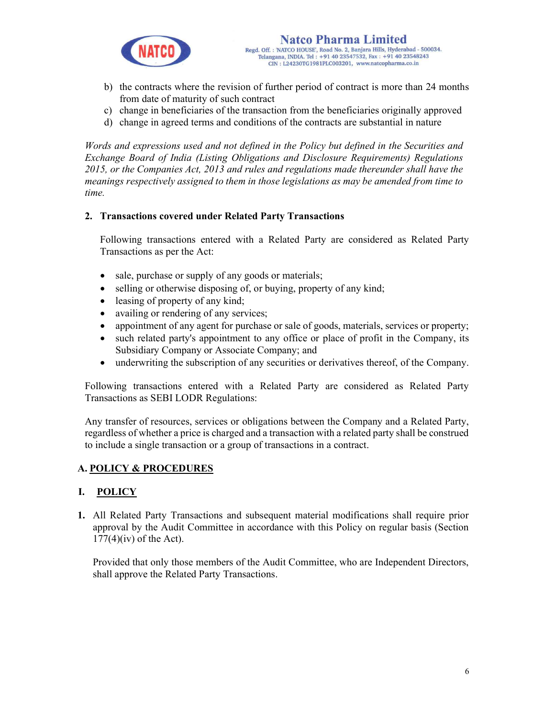

- b) the contracts where the revision of further period of contract is more than 24 months from date of maturity of such contract
- c) change in beneficiaries of the transaction from the beneficiaries originally approved
- d) change in agreed terms and conditions of the contracts are substantial in nature

Words and expressions used and not defined in the Policy but defined in the Securities and Exchange Board of India (Listing Obligations and Disclosure Requirements) Regulations 2015, or the Companies Act, 2013 and rules and regulations made thereunder shall have the meanings respectively assigned to them in those legislations as may be amended from time to time.

## 2. Transactions covered under Related Party Transactions

Following transactions entered with a Related Party are considered as Related Party Transactions as per the Act:

- sale, purchase or supply of any goods or materials;
- selling or otherwise disposing of, or buying, property of any kind;
- leasing of property of any kind;
- availing or rendering of any services;
- appointment of any agent for purchase or sale of goods, materials, services or property;
- such related party's appointment to any office or place of profit in the Company, its Subsidiary Company or Associate Company; and
- underwriting the subscription of any securities or derivatives thereof, of the Company.

Following transactions entered with a Related Party are considered as Related Party Transactions as SEBI LODR Regulations:

Any transfer of resources, services or obligations between the Company and a Related Party, regardless of whether a price is charged and a transaction with a related party shall be construed to include a single transaction or a group of transactions in a contract.

### A. POLICY & PROCEDURES

## I. POLICY

1. All Related Party Transactions and subsequent material modifications shall require prior approval by the Audit Committee in accordance with this Policy on regular basis (Section  $177(4)$ (iv) of the Act).

Provided that only those members of the Audit Committee, who are Independent Directors, shall approve the Related Party Transactions.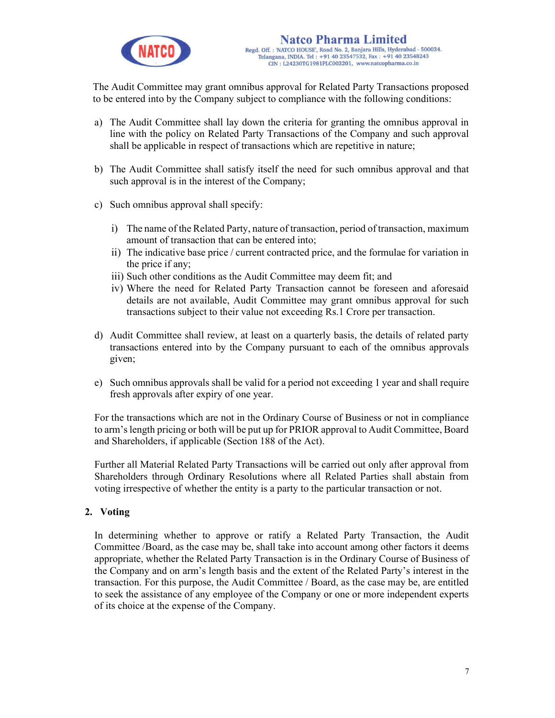

The Audit Committee may grant omnibus approval for Related Party Transactions proposed to be entered into by the Company subject to compliance with the following conditions:

- a) The Audit Committee shall lay down the criteria for granting the omnibus approval in line with the policy on Related Party Transactions of the Company and such approval shall be applicable in respect of transactions which are repetitive in nature;
- b) The Audit Committee shall satisfy itself the need for such omnibus approval and that such approval is in the interest of the Company;
- c) Such omnibus approval shall specify:
	- i) The name of the Related Party, nature of transaction, period of transaction, maximum amount of transaction that can be entered into;
	- ii) The indicative base price / current contracted price, and the formulae for variation in the price if any;
	- iii) Such other conditions as the Audit Committee may deem fit; and
	- iv) Where the need for Related Party Transaction cannot be foreseen and aforesaid details are not available, Audit Committee may grant omnibus approval for such transactions subject to their value not exceeding Rs.1 Crore per transaction.
- d) Audit Committee shall review, at least on a quarterly basis, the details of related party transactions entered into by the Company pursuant to each of the omnibus approvals given;
- e) Such omnibus approvals shall be valid for a period not exceeding 1 year and shall require fresh approvals after expiry of one year.

For the transactions which are not in the Ordinary Course of Business or not in compliance to arm's length pricing or both will be put up for PRIOR approval to Audit Committee, Board and Shareholders, if applicable (Section 188 of the Act).

Further all Material Related Party Transactions will be carried out only after approval from Shareholders through Ordinary Resolutions where all Related Parties shall abstain from voting irrespective of whether the entity is a party to the particular transaction or not.

## 2. Voting

In determining whether to approve or ratify a Related Party Transaction, the Audit Committee /Board, as the case may be, shall take into account among other factors it deems appropriate, whether the Related Party Transaction is in the Ordinary Course of Business of the Company and on arm's length basis and the extent of the Related Party's interest in the transaction. For this purpose, the Audit Committee / Board, as the case may be, are entitled to seek the assistance of any employee of the Company or one or more independent experts of its choice at the expense of the Company.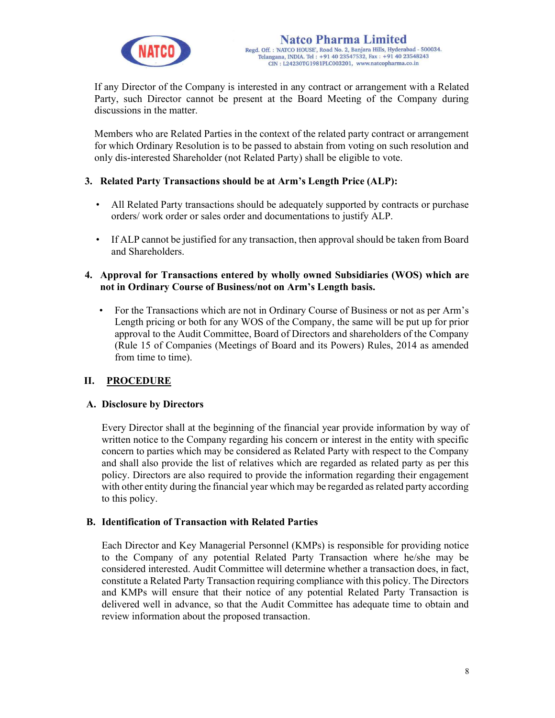

If any Director of the Company is interested in any contract or arrangement with a Related Party, such Director cannot be present at the Board Meeting of the Company during discussions in the matter.

Members who are Related Parties in the context of the related party contract or arrangement for which Ordinary Resolution is to be passed to abstain from voting on such resolution and only dis-interested Shareholder (not Related Party) shall be eligible to vote.

### 3. Related Party Transactions should be at Arm's Length Price (ALP):

- All Related Party transactions should be adequately supported by contracts or purchase orders/ work order or sales order and documentations to justify ALP.
- If ALP cannot be justified for any transaction, then approval should be taken from Board and Shareholders.

### 4. Approval for Transactions entered by wholly owned Subsidiaries (WOS) which are not in Ordinary Course of Business/not on Arm's Length basis.

• For the Transactions which are not in Ordinary Course of Business or not as per Arm's Length pricing or both for any WOS of the Company, the same will be put up for prior approval to the Audit Committee, Board of Directors and shareholders of the Company (Rule 15 of Companies (Meetings of Board and its Powers) Rules, 2014 as amended from time to time).

## II. PROCEDURE

### A. Disclosure by Directors

Every Director shall at the beginning of the financial year provide information by way of written notice to the Company regarding his concern or interest in the entity with specific concern to parties which may be considered as Related Party with respect to the Company and shall also provide the list of relatives which are regarded as related party as per this policy. Directors are also required to provide the information regarding their engagement with other entity during the financial year which may be regarded as related party according to this policy.

### B. Identification of Transaction with Related Parties

Each Director and Key Managerial Personnel (KMPs) is responsible for providing notice to the Company of any potential Related Party Transaction where he/she may be considered interested. Audit Committee will determine whether a transaction does, in fact, constitute a Related Party Transaction requiring compliance with this policy. The Directors and KMPs will ensure that their notice of any potential Related Party Transaction is delivered well in advance, so that the Audit Committee has adequate time to obtain and review information about the proposed transaction.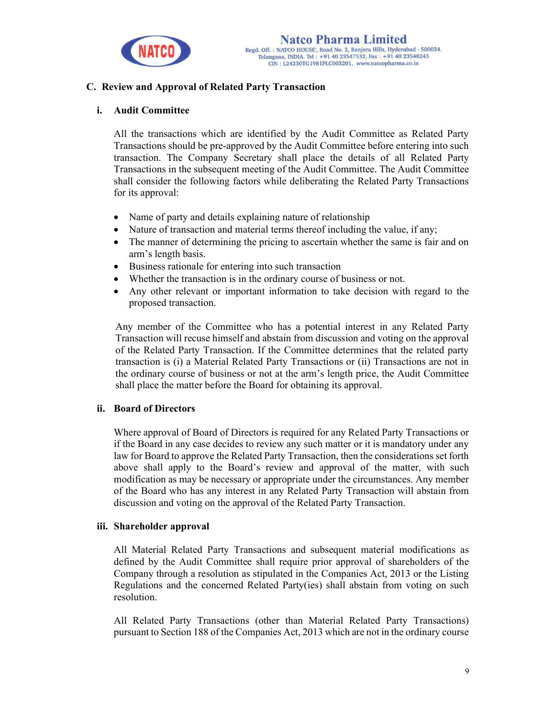

## C. Review and Approval of Related Party Transaction

#### i. Audit Committee

All the transactions which are identified by the Audit Committee as Related Party Transactions should be pre-approved by the Audit Committee before entering into such transaction. The Company Secretary shall place the details of all Related Party Transactions in the subsequent meeting of the Audit Committee. The Audit Committee shall consider the following factors while deliberating the Related Party Transactions for its approval:

- Name of party and details explaining nature of relationship
- Nature of transaction and material terms thereof including the value, if any;
- The manner of determining the pricing to ascertain whether the same is fair and on arm's length basis.
- Business rationale for entering into such transaction
- Whether the transaction is in the ordinary course of business or not.
- Any other relevant or important information to take decision with regard to the proposed transaction.

Any member of the Committee who has a potential interest in any Related Party Transaction will recuse himself and abstain from discussion and voting on the approval of the Related Party Transaction. If the Committee determines that the related party transaction is (i) a Material Related Party Transactions or (ii) Transactions are not in the ordinary course of business or not at the arm's length price, the Audit Committee shall place the matter before the Board for obtaining its approval.

### ii. Board of Directors

Where approval of Board of Directors is required for any Related Party Transactions or if the Board in any case decides to review any such matter or it is mandatory under any law for Board to approve the Related Party Transaction, then the considerations set forth above shall apply to the Board's review and approval of the matter, with such modification as may be necessary or appropriate under the circumstances. Any member of the Board who has any interest in any Related Party Transaction will abstain from discussion and voting on the approval of the Related Party Transaction.

### iii. Shareholder approval

All Material Related Party Transactions and subsequent material modifications as defined by the Audit Committee shall require prior approval of shareholders of the Company through a resolution as stipulated in the Companies Act, 2013 or the Listing Regulations and the concerned Related Party(ies) shall abstain from voting on such resolution.

All Related Party Transactions (other than Material Related Party Transactions) pursuant to Section 188 of the Companies Act, 2013 which are not in the ordinary course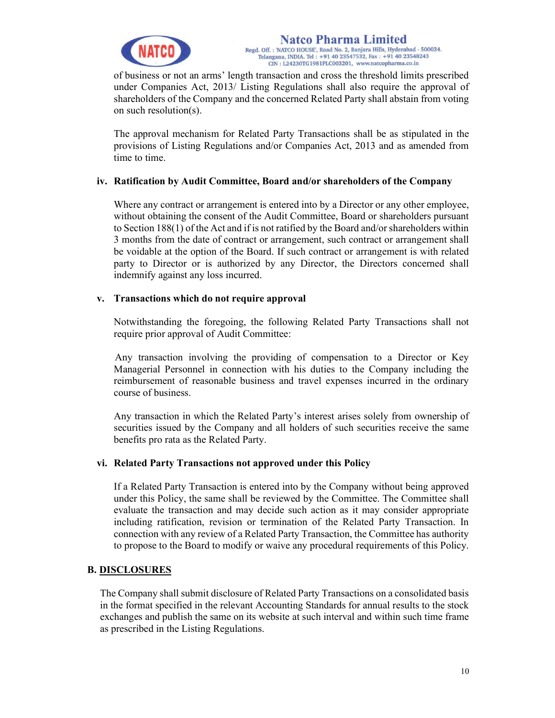

of business or not an arms' length transaction and cross the threshold limits prescribed under Companies Act, 2013/ Listing Regulations shall also require the approval of shareholders of the Company and the concerned Related Party shall abstain from voting on such resolution(s).

The approval mechanism for Related Party Transactions shall be as stipulated in the provisions of Listing Regulations and/or Companies Act, 2013 and as amended from time to time.

### iv. Ratification by Audit Committee, Board and/or shareholders of the Company

Where any contract or arrangement is entered into by a Director or any other employee, without obtaining the consent of the Audit Committee, Board or shareholders pursuant to Section 188(1) of the Act and if is not ratified by the Board and/or shareholders within 3 months from the date of contract or arrangement, such contract or arrangement shall be voidable at the option of the Board. If such contract or arrangement is with related party to Director or is authorized by any Director, the Directors concerned shall indemnify against any loss incurred.

### v. Transactions which do not require approval

Notwithstanding the foregoing, the following Related Party Transactions shall not require prior approval of Audit Committee:

Any transaction involving the providing of compensation to a Director or Key Managerial Personnel in connection with his duties to the Company including the reimbursement of reasonable business and travel expenses incurred in the ordinary course of business.

Any transaction in which the Related Party's interest arises solely from ownership of securities issued by the Company and all holders of such securities receive the same benefits pro rata as the Related Party.

### vi. Related Party Transactions not approved under this Policy

If a Related Party Transaction is entered into by the Company without being approved under this Policy, the same shall be reviewed by the Committee. The Committee shall evaluate the transaction and may decide such action as it may consider appropriate including ratification, revision or termination of the Related Party Transaction. In connection with any review of a Related Party Transaction, the Committee has authority to propose to the Board to modify or waive any procedural requirements of this Policy.

### B. DISCLOSURES

The Company shall submit disclosure of Related Party Transactions on a consolidated basis in the format specified in the relevant Accounting Standards for annual results to the stock exchanges and publish the same on its website at such interval and within such time frame as prescribed in the Listing Regulations.